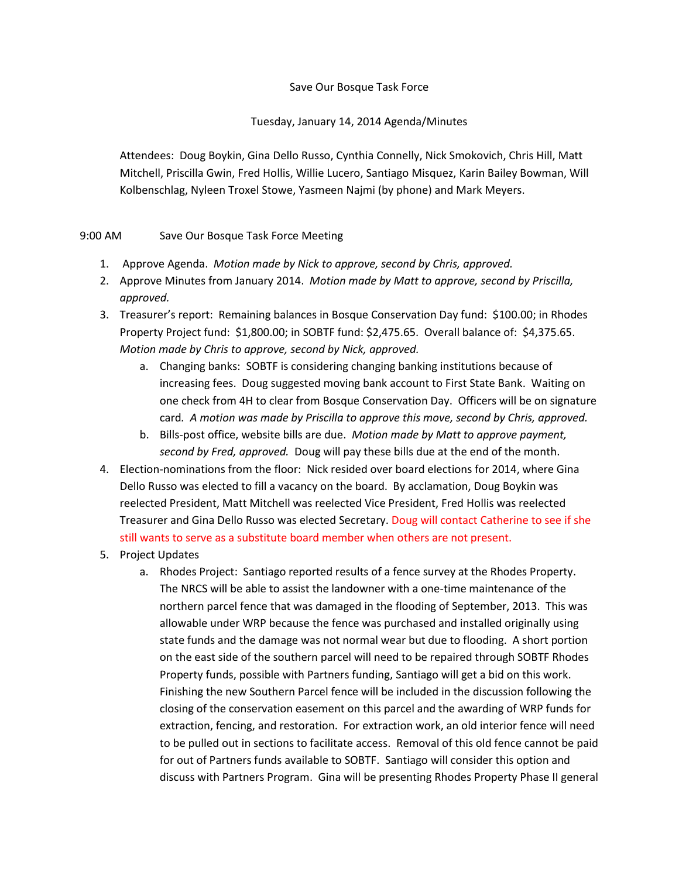## Save Our Bosque Task Force

## Tuesday, January 14, 2014 Agenda/Minutes

Attendees: Doug Boykin, Gina Dello Russo, Cynthia Connelly, Nick Smokovich, Chris Hill, Matt Mitchell, Priscilla Gwin, Fred Hollis, Willie Lucero, Santiago Misquez, Karin Bailey Bowman, Will Kolbenschlag, Nyleen Troxel Stowe, Yasmeen Najmi (by phone) and Mark Meyers.

## 9:00 AM Save Our Bosque Task Force Meeting

- 1. Approve Agenda. *Motion made by Nick to approve, second by Chris, approved.*
- 2. Approve Minutes from January 2014. *Motion made by Matt to approve, second by Priscilla, approved.*
- 3. Treasurer's report: Remaining balances in Bosque Conservation Day fund: \$100.00; in Rhodes Property Project fund: \$1,800.00; in SOBTF fund: \$2,475.65. Overall balance of: \$4,375.65. *Motion made by Chris to approve, second by Nick, approved.*
	- a. Changing banks: SOBTF is considering changing banking institutions because of increasing fees. Doug suggested moving bank account to First State Bank. Waiting on one check from 4H to clear from Bosque Conservation Day. Officers will be on signature card*. A motion was made by Priscilla to approve this move, second by Chris, approved.*
	- b. Bills-post office, website bills are due. *Motion made by Matt to approve payment, second by Fred, approved.* Doug will pay these bills due at the end of the month.
- 4. Election-nominations from the floor: Nick resided over board elections for 2014, where Gina Dello Russo was elected to fill a vacancy on the board. By acclamation, Doug Boykin was reelected President, Matt Mitchell was reelected Vice President, Fred Hollis was reelected Treasurer and Gina Dello Russo was elected Secretary. Doug will contact Catherine to see if she still wants to serve as a substitute board member when others are not present.
- 5. Project Updates
	- a. Rhodes Project: Santiago reported results of a fence survey at the Rhodes Property. The NRCS will be able to assist the landowner with a one-time maintenance of the northern parcel fence that was damaged in the flooding of September, 2013. This was allowable under WRP because the fence was purchased and installed originally using state funds and the damage was not normal wear but due to flooding. A short portion on the east side of the southern parcel will need to be repaired through SOBTF Rhodes Property funds, possible with Partners funding, Santiago will get a bid on this work. Finishing the new Southern Parcel fence will be included in the discussion following the closing of the conservation easement on this parcel and the awarding of WRP funds for extraction, fencing, and restoration. For extraction work, an old interior fence will need to be pulled out in sections to facilitate access. Removal of this old fence cannot be paid for out of Partners funds available to SOBTF. Santiago will consider this option and discuss with Partners Program. Gina will be presenting Rhodes Property Phase II general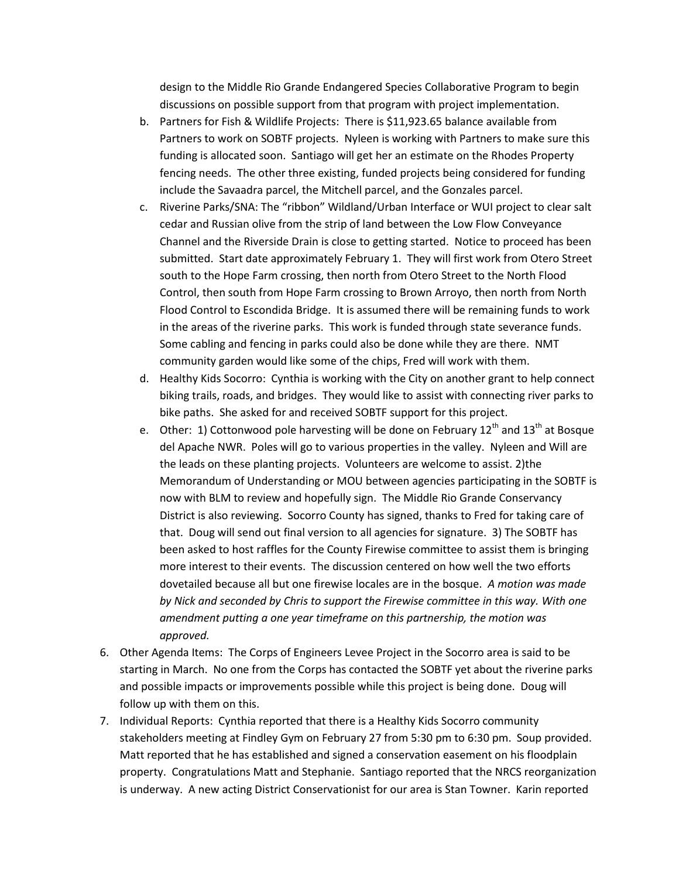design to the Middle Rio Grande Endangered Species Collaborative Program to begin discussions on possible support from that program with project implementation.

- b. Partners for Fish & Wildlife Projects: There is \$11,923.65 balance available from Partners to work on SOBTF projects. Nyleen is working with Partners to make sure this funding is allocated soon. Santiago will get her an estimate on the Rhodes Property fencing needs. The other three existing, funded projects being considered for funding include the Savaadra parcel, the Mitchell parcel, and the Gonzales parcel.
- c. Riverine Parks/SNA: The "ribbon" Wildland/Urban Interface or WUI project to clear salt cedar and Russian olive from the strip of land between the Low Flow Conveyance Channel and the Riverside Drain is close to getting started. Notice to proceed has been submitted. Start date approximately February 1. They will first work from Otero Street south to the Hope Farm crossing, then north from Otero Street to the North Flood Control, then south from Hope Farm crossing to Brown Arroyo, then north from North Flood Control to Escondida Bridge. It is assumed there will be remaining funds to work in the areas of the riverine parks. This work is funded through state severance funds. Some cabling and fencing in parks could also be done while they are there. NMT community garden would like some of the chips, Fred will work with them.
- d. Healthy Kids Socorro: Cynthia is working with the City on another grant to help connect biking trails, roads, and bridges. They would like to assist with connecting river parks to bike paths. She asked for and received SOBTF support for this project.
- e. Other: 1) Cottonwood pole harvesting will be done on February  $12^{th}$  and  $13^{th}$  at Bosque del Apache NWR. Poles will go to various properties in the valley. Nyleen and Will are the leads on these planting projects. Volunteers are welcome to assist. 2)the Memorandum of Understanding or MOU between agencies participating in the SOBTF is now with BLM to review and hopefully sign. The Middle Rio Grande Conservancy District is also reviewing. Socorro County has signed, thanks to Fred for taking care of that. Doug will send out final version to all agencies for signature. 3) The SOBTF has been asked to host raffles for the County Firewise committee to assist them is bringing more interest to their events. The discussion centered on how well the two efforts dovetailed because all but one firewise locales are in the bosque. *A motion was made by Nick and seconded by Chris to support the Firewise committee in this way. With one amendment putting a one year timeframe on this partnership, the motion was approved.*
- 6. Other Agenda Items: The Corps of Engineers Levee Project in the Socorro area is said to be starting in March. No one from the Corps has contacted the SOBTF yet about the riverine parks and possible impacts or improvements possible while this project is being done. Doug will follow up with them on this.
- 7. Individual Reports: Cynthia reported that there is a Healthy Kids Socorro community stakeholders meeting at Findley Gym on February 27 from 5:30 pm to 6:30 pm. Soup provided. Matt reported that he has established and signed a conservation easement on his floodplain property. Congratulations Matt and Stephanie. Santiago reported that the NRCS reorganization is underway. A new acting District Conservationist for our area is Stan Towner. Karin reported